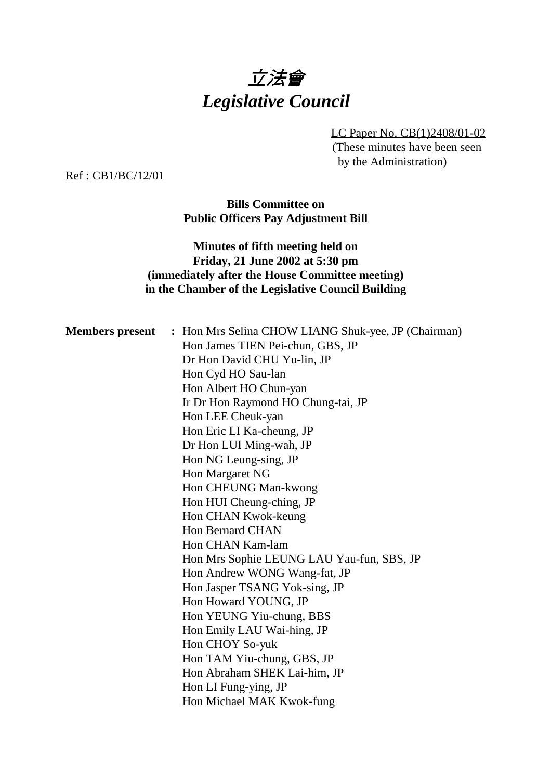# 立法會 *Legislative Council*

LC Paper No. CB(1)2408/01-02 (These minutes have been seen by the Administration)

Ref : CB1/BC/12/01

**Bills Committee on Public Officers Pay Adjustment Bill**

### **Minutes of fifth meeting held on Friday, 21 June 2002 at 5:30 pm (immediately after the House Committee meeting) in the Chamber of the Legislative Council Building**

| <b>Members present</b> : Hon Mrs Selina CHOW LIANG Shuk-yee, JP (Chairman) |
|----------------------------------------------------------------------------|
| Hon James TIEN Pei-chun, GBS, JP                                           |
| Dr Hon David CHU Yu-lin, JP                                                |
| Hon Cyd HO Sau-lan                                                         |
| Hon Albert HO Chun-yan                                                     |
| Ir Dr Hon Raymond HO Chung-tai, JP                                         |
| Hon LEE Cheuk-yan                                                          |
| Hon Eric LI Ka-cheung, JP                                                  |
| Dr Hon LUI Ming-wah, JP                                                    |
| Hon NG Leung-sing, JP                                                      |
| Hon Margaret NG                                                            |
| Hon CHEUNG Man-kwong                                                       |
| Hon HUI Cheung-ching, JP                                                   |
| Hon CHAN Kwok-keung                                                        |
| <b>Hon Bernard CHAN</b>                                                    |
| Hon CHAN Kam-lam                                                           |
| Hon Mrs Sophie LEUNG LAU Yau-fun, SBS, JP                                  |
| Hon Andrew WONG Wang-fat, JP                                               |
| Hon Jasper TSANG Yok-sing, JP                                              |
| Hon Howard YOUNG, JP                                                       |
| Hon YEUNG Yiu-chung, BBS                                                   |
| Hon Emily LAU Wai-hing, JP                                                 |
| Hon CHOY So-yuk                                                            |
| Hon TAM Yiu-chung, GBS, JP                                                 |
| Hon Abraham SHEK Lai-him, JP                                               |
| Hon LI Fung-ying, JP                                                       |
| Hon Michael MAK Kwok-fung                                                  |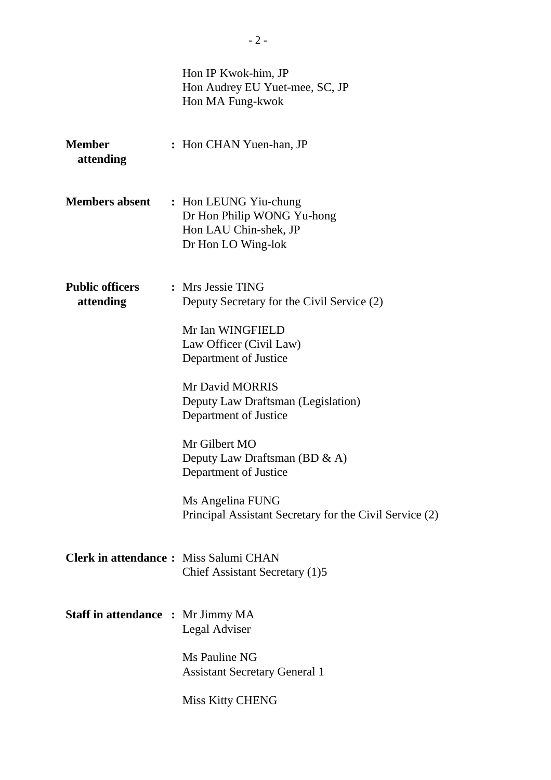|                                              | Hon IP Kwok-him, JP<br>Hon Audrey EU Yuet-mee, SC, JP<br>Hon MA Fung-kwok                          |
|----------------------------------------------|----------------------------------------------------------------------------------------------------|
| <b>Member</b><br>attending                   | : Hon CHAN Yuen-han, JP                                                                            |
| <b>Members absent</b>                        | : Hon LEUNG Yiu-chung<br>Dr Hon Philip WONG Yu-hong<br>Hon LAU Chin-shek, JP<br>Dr Hon LO Wing-lok |
| <b>Public officers</b><br>attending          | : Mrs Jessie TING<br>Deputy Secretary for the Civil Service (2)                                    |
|                                              | Mr Ian WINGFIELD<br>Law Officer (Civil Law)<br>Department of Justice                               |
|                                              | Mr David MORRIS<br>Deputy Law Draftsman (Legislation)<br>Department of Justice                     |
|                                              | Mr Gilbert MO<br>Deputy Law Draftsman (BD & A)<br>Department of Justice                            |
|                                              | Ms Angelina FUNG<br>Principal Assistant Secretary for the Civil Service (2)                        |
| <b>Clerk in attendance:</b> Miss Salumi CHAN | Chief Assistant Secretary (1)5                                                                     |
| <b>Staff in attendance : Mr Jimmy MA</b>     | Legal Adviser                                                                                      |
|                                              | Ms Pauline NG<br><b>Assistant Secretary General 1</b>                                              |
|                                              | Miss Kitty CHENG                                                                                   |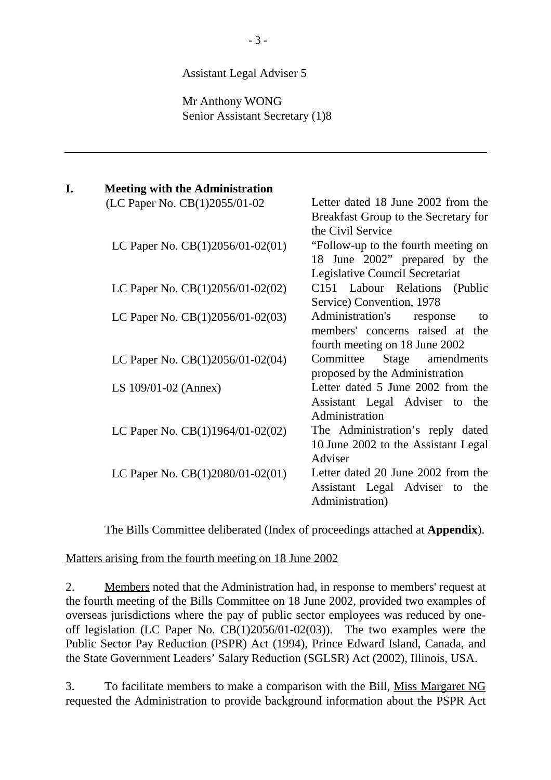#### Assistant Legal Adviser 5

Mr Anthony WONG Senior Assistant Secretary (1)8

| I. | <b>Meeting with the Administration</b>                                   |                                      |
|----|--------------------------------------------------------------------------|--------------------------------------|
|    | (LC Paper No. CB(1)2055/01-02                                            | - Letter dated 18 June 2002 from the |
|    |                                                                          | Breakfast Group to the Secretary for |
|    |                                                                          | the Civil Service                    |
|    | LC Paper No. $CB(1)2056/01-02(01)$ - "Follow-up to the fourth meeting on |                                      |
|    |                                                                          | 18 June 2002" prepared by the        |
|    |                                                                          | Legislative Council Secretariat      |
|    | LC Paper No. CB(1)2056/01-02(02) - C151 Labour Relations (Public         |                                      |
|    |                                                                          | Service) Convention, 1978            |
|    | LC Paper No. $CB(1)2056/01-02(03)$ - Administration's                    | response<br>to                       |
|    |                                                                          | members' concerns raised at the      |
|    |                                                                          | fourth meeting on 18 June 2002       |
|    | LC Paper No. $CB(1)2056/01-02(04)$ — Committee                           | Stage amendments                     |
|    |                                                                          | proposed by the Administration       |
|    | LS $109/01-02$ (Annex)                                                   | - Letter dated 5 June 2002 from the  |
|    |                                                                          | Assistant Legal Adviser to the       |
|    |                                                                          | Administration                       |
|    | LC Paper No. $CB(1)1964/01-02(02)$ The Administration's reply dated      |                                      |
|    |                                                                          | 10 June 2002 to the Assistant Legal  |
|    |                                                                          | Adviser                              |
|    | LC Paper No. $CB(1)2080/01-02(01)$ Letter dated 20 June 2002 from the    |                                      |
|    |                                                                          | Assistant Legal Adviser to the       |
|    |                                                                          | Administration)                      |

The Bills Committee deliberated (Index of proceedings attached at **Appendix**).

Matters arising from the fourth meeting on 18 June 2002

2. Members noted that the Administration had, in response to members' request at the fourth meeting of the Bills Committee on 18 June 2002, provided two examples of overseas jurisdictions where the pay of public sector employees was reduced by oneoff legislation (LC Paper No. CB(1)2056/01-02(03)). The two examples were the Public Sector Pay Reduction (PSPR) Act (1994), Prince Edward Island, Canada, and the State Government Leaders' Salary Reduction (SGLSR) Act (2002), Illinois, USA.

3. To facilitate members to make a comparison with the Bill, Miss Margaret NG requested the Administration to provide background information about the PSPR Act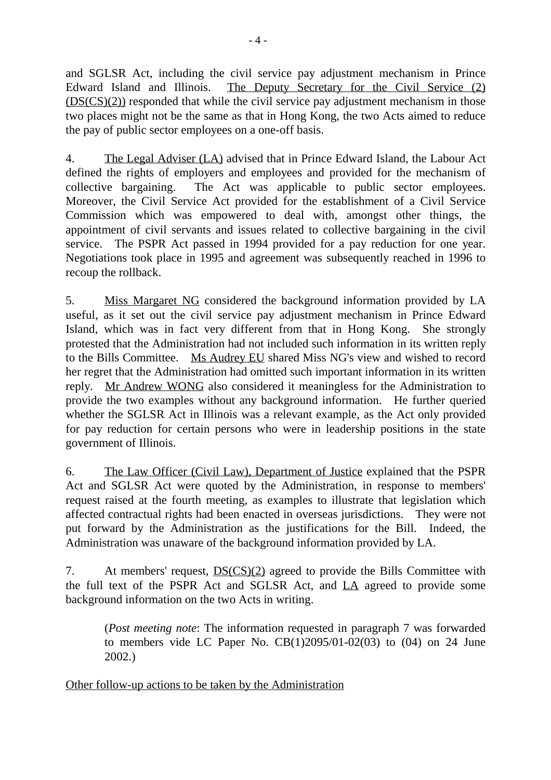and SGLSR Act, including the civil service pay adjustment mechanism in Prince Edward Island and Illinois. The Deputy Secretary for the Civil Service (2) (DS(CS)(2)) responded that while the civil service pay adjustment mechanism in those two places might not be the same as that in Hong Kong, the two Acts aimed to reduce the pay of public sector employees on a one-off basis.

4. The Legal Adviser (LA) advised that in Prince Edward Island, the Labour Act defined the rights of employers and employees and provided for the mechanism of collective bargaining. The Act was applicable to public sector employees. Moreover, the Civil Service Act provided for the establishment of a Civil Service Commission which was empowered to deal with, amongst other things, the appointment of civil servants and issues related to collective bargaining in the civil service. The PSPR Act passed in 1994 provided for a pay reduction for one year. Negotiations took place in 1995 and agreement was subsequently reached in 1996 to recoup the rollback.

5. Miss Margaret NG considered the background information provided by LA useful, as it set out the civil service pay adjustment mechanism in Prince Edward Island, which was in fact very different from that in Hong Kong. She strongly protested that the Administration had not included such information in its written reply to the Bills Committee. Ms Audrey EU shared Miss NG's view and wished to record her regret that the Administration had omitted such important information in its written reply. Mr Andrew WONG also considered it meaningless for the Administration to provide the two examples without any background information. He further queried whether the SGLSR Act in Illinois was a relevant example, as the Act only provided for pay reduction for certain persons who were in leadership positions in the state government of Illinois.

6. The Law Officer (Civil Law), Department of Justice explained that the PSPR Act and SGLSR Act were quoted by the Administration, in response to members' request raised at the fourth meeting, as examples to illustrate that legislation which affected contractual rights had been enacted in overseas jurisdictions. They were not put forward by the Administration as the justifications for the Bill. Indeed, the Administration was unaware of the background information provided by LA.

7. At members' request,  $DS(CS)(2)$  agreed to provide the Bills Committee with the full text of the PSPR Act and SGLSR Act, and LA agreed to provide some background information on the two Acts in writing.

(*Post meeting note*: The information requested in paragraph 7 was forwarded to members vide LC Paper No.  $CB(1)2095/01-02(03)$  to  $(04)$  on 24 June 2002.)

Other follow-up actions to be taken by the Administration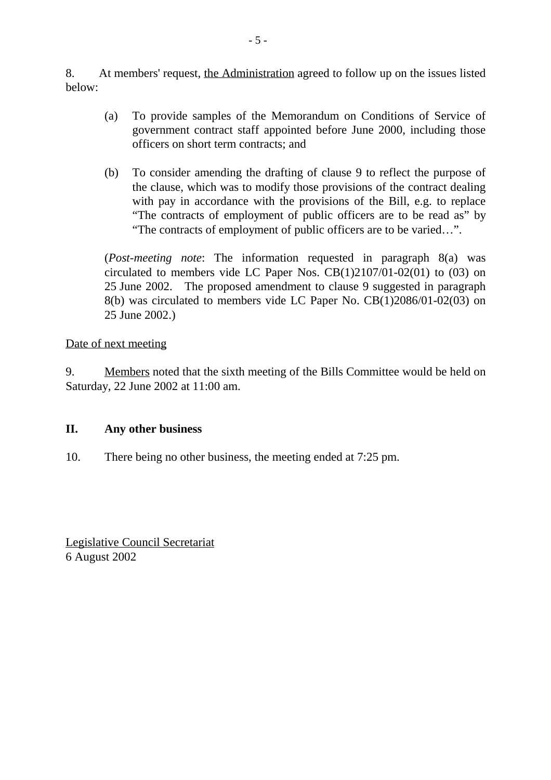8. At members' request, the Administration agreed to follow up on the issues listed below:

- (a) To provide samples of the Memorandum on Conditions of Service of government contract staff appointed before June 2000, including those officers on short term contracts; and
- (b) To consider amending the drafting of clause 9 to reflect the purpose of the clause, which was to modify those provisions of the contract dealing with pay in accordance with the provisions of the Bill, e.g. to replace "The contracts of employment of public officers are to be read as" by "The contracts of employment of public officers are to be varied…".

(*Post-meeting note*: The information requested in paragraph 8(a) was circulated to members vide LC Paper Nos. CB(1)2107/01-02(01) to (03) on 25 June 2002. The proposed amendment to clause 9 suggested in paragraph 8(b) was circulated to members vide LC Paper No. CB(1)2086/01-02(03) on 25 June 2002.)

Date of next meeting

9. Members noted that the sixth meeting of the Bills Committee would be held on Saturday, 22 June 2002 at 11:00 am.

#### **II. Any other business**

10. There being no other business, the meeting ended at 7:25 pm.

Legislative Council Secretariat 6 August 2002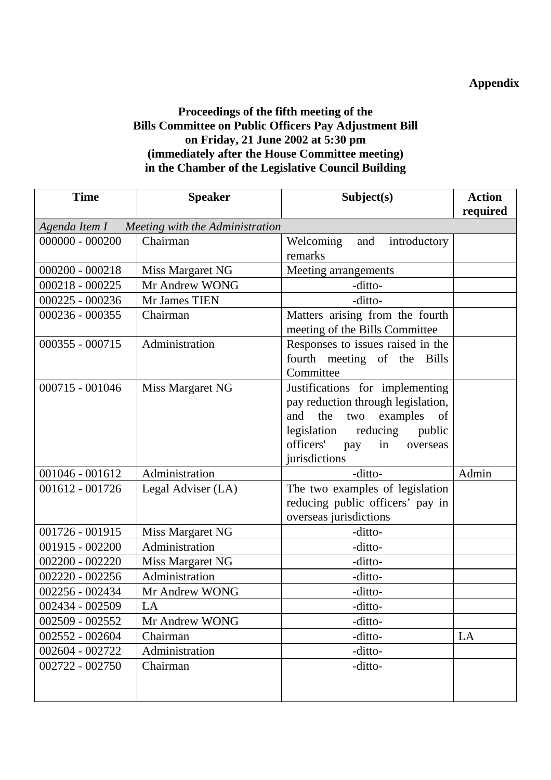## **Appendix**

### **Proceedings of the fifth meeting of the Bills Committee on Public Officers Pay Adjustment Bill on Friday, 21 June 2002 at 5:30 pm (immediately after the House Committee meeting) in the Chamber of the Legislative Council Building**

| <b>Time</b>       | <b>Speaker</b>                                  | Subject(s)                                                                                                                                                                                               | <b>Action</b> |
|-------------------|-------------------------------------------------|----------------------------------------------------------------------------------------------------------------------------------------------------------------------------------------------------------|---------------|
|                   |                                                 |                                                                                                                                                                                                          | required      |
|                   | Agenda Item I — Meeting with the Administration |                                                                                                                                                                                                          |               |
| $000000 - 000200$ | Chairman                                        | Welcoming<br>introductory<br>and<br>remarks                                                                                                                                                              |               |
| $000200 - 000218$ | Miss Margaret NG                                | Meeting arrangements                                                                                                                                                                                     |               |
| $000218 - 000225$ | Mr Andrew WONG                                  | -ditto-                                                                                                                                                                                                  |               |
| 000225 - 000236   | Mr James TIEN                                   | -ditto-                                                                                                                                                                                                  |               |
| 000236 - 000355   | Chairman                                        | Matters arising from the fourth<br>meeting of the Bills Committee                                                                                                                                        |               |
| 000355 - 000715   | Administration                                  | Responses to issues raised in the<br>fourth meeting of the Bills<br>Committee                                                                                                                            |               |
| 000715 - 001046   | Miss Margaret NG                                | Justifications for implementing<br>pay reduction through legislation,<br>and<br>the<br>two<br>examples<br>of<br>legislation<br>reducing<br>public<br>officers'<br>in<br>pay<br>overseas<br>jurisdictions |               |
| 001046 - 001612   | Administration                                  | -ditto-                                                                                                                                                                                                  | Admin         |
| 001612 - 001726   | Legal Adviser (LA)                              | The two examples of legislation<br>reducing public officers' pay in<br>overseas jurisdictions                                                                                                            |               |
| 001726 - 001915   | Miss Margaret NG                                | -ditto-                                                                                                                                                                                                  |               |
| 001915 - 002200   | Administration                                  | -ditto-                                                                                                                                                                                                  |               |
| 002200 - 002220   | Miss Margaret NG                                | -ditto-                                                                                                                                                                                                  |               |
| 002220 - 002256   | Administration                                  | -ditto-                                                                                                                                                                                                  |               |
| 002256 - 002434   | Mr Andrew WONG                                  | -ditto-                                                                                                                                                                                                  |               |
| 002434 - 002509   | LA                                              | -ditto-                                                                                                                                                                                                  |               |
| 002509 - 002552   | Mr Andrew WONG                                  | -ditto-                                                                                                                                                                                                  |               |
| 002552 - 002604   | Chairman                                        | -ditto-                                                                                                                                                                                                  | LA            |
| 002604 - 002722   | Administration                                  | -ditto-                                                                                                                                                                                                  |               |
| 002722 - 002750   | Chairman                                        | -ditto-                                                                                                                                                                                                  |               |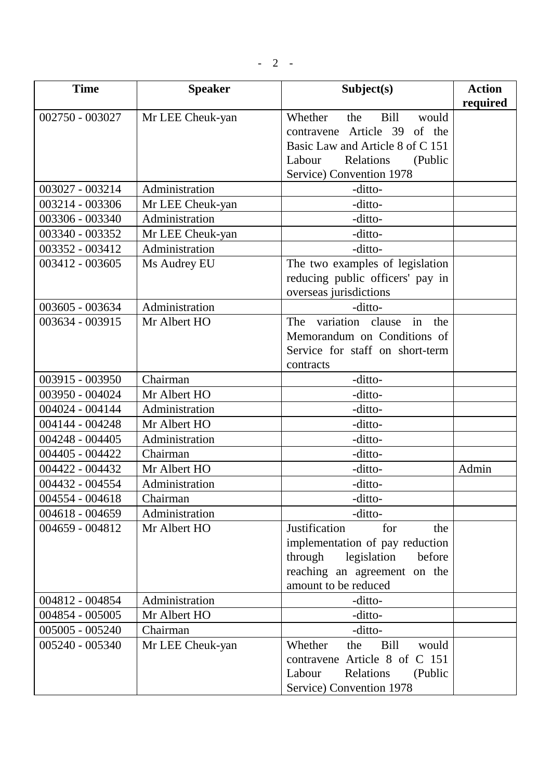$- 2 -$ 

| <b>Time</b>     | <b>Speaker</b>   | Subject(s)                                                                                                                                                              | <b>Action</b><br>required |
|-----------------|------------------|-------------------------------------------------------------------------------------------------------------------------------------------------------------------------|---------------------------|
| 002750 - 003027 | Mr LEE Cheuk-yan | Bill<br>Whether<br>the<br>would<br>Article 39<br>of the<br>contravene<br>Basic Law and Article 8 of C 151<br>Labour<br>Relations<br>(Public<br>Service) Convention 1978 |                           |
| 003027 - 003214 | Administration   | -ditto-                                                                                                                                                                 |                           |
| 003214 - 003306 | Mr LEE Cheuk-yan | -ditto-                                                                                                                                                                 |                           |
| 003306 - 003340 | Administration   | -ditto-                                                                                                                                                                 |                           |
| 003340 - 003352 | Mr LEE Cheuk-yan | -ditto-                                                                                                                                                                 |                           |
| 003352 - 003412 | Administration   | -ditto-                                                                                                                                                                 |                           |
| 003412 - 003605 | Ms Audrey EU     | The two examples of legislation<br>reducing public officers' pay in<br>overseas jurisdictions                                                                           |                           |
| 003605 - 003634 | Administration   | -ditto-                                                                                                                                                                 |                           |
| 003634 - 003915 | Mr Albert HO     | variation<br>The<br>clause<br>in<br>the<br>Memorandum on Conditions of<br>Service for staff on short-term<br>contracts                                                  |                           |
| 003915 - 003950 | Chairman         | -ditto-                                                                                                                                                                 |                           |
| 003950 - 004024 | Mr Albert HO     | -ditto-                                                                                                                                                                 |                           |
| 004024 - 004144 | Administration   | -ditto-                                                                                                                                                                 |                           |
| 004144 - 004248 | Mr Albert HO     | -ditto-                                                                                                                                                                 |                           |
| 004248 - 004405 | Administration   | -ditto-                                                                                                                                                                 |                           |
| 004405 - 004422 | Chairman         | -ditto-                                                                                                                                                                 |                           |
| 004422 - 004432 | Mr Albert HO     | -ditto-                                                                                                                                                                 | Admin                     |
| 004432 - 004554 | Administration   | -ditto-                                                                                                                                                                 |                           |
| 004554 - 004618 | Chairman         | -ditto-                                                                                                                                                                 |                           |
| 004618 - 004659 | Administration   | -ditto-                                                                                                                                                                 |                           |
| 004659 - 004812 | Mr Albert HO     | Justification<br>for<br>the<br>implementation of pay reduction<br>legislation<br>through<br>before<br>reaching an agreement on the<br>amount to be reduced              |                           |
| 004812 - 004854 | Administration   | -ditto-                                                                                                                                                                 |                           |
| 004854 - 005005 | Mr Albert HO     | -ditto-                                                                                                                                                                 |                           |
| 005005 - 005240 | Chairman         | -ditto-                                                                                                                                                                 |                           |
| 005240 - 005340 | Mr LEE Cheuk-yan | Whether<br><b>Bill</b><br>the<br>would<br>contravene Article 8 of C 151<br>Relations<br>Labour<br>(Public<br>Service) Convention 1978                                   |                           |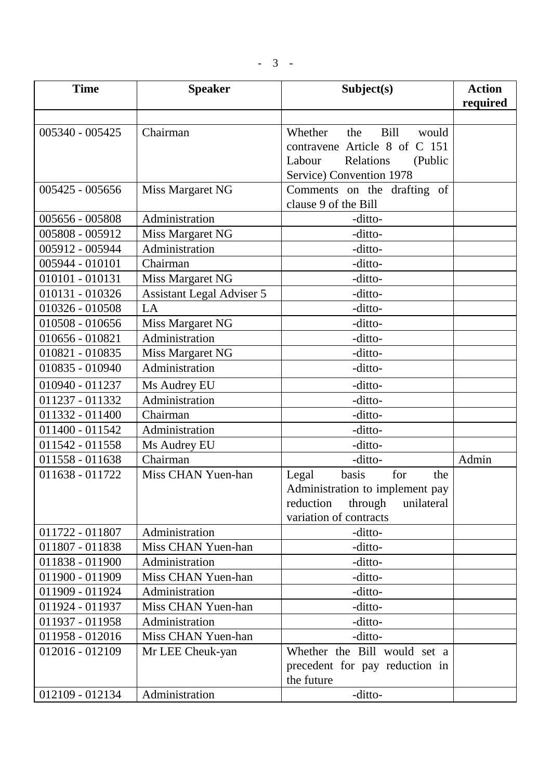| <b>Time</b>     | <b>Speaker</b>                   | Subject(s)                                                       | <b>Action</b> |
|-----------------|----------------------------------|------------------------------------------------------------------|---------------|
|                 |                                  |                                                                  | required      |
|                 |                                  |                                                                  |               |
| 005340 - 005425 | Chairman                         | Bill<br>Whether<br>the<br>would<br>contravene Article 8 of C 151 |               |
|                 |                                  | Relations<br>Labour                                              |               |
|                 |                                  | (Public<br>Service) Convention 1978                              |               |
| 005425 - 005656 |                                  | Comments on the drafting of                                      |               |
|                 | Miss Margaret NG                 | clause 9 of the Bill                                             |               |
| 005656 - 005808 | Administration                   | -ditto-                                                          |               |
| 005808 - 005912 | Miss Margaret NG                 | -ditto-                                                          |               |
| 005912 - 005944 | Administration                   | -ditto-                                                          |               |
| 005944 - 010101 | Chairman                         | -ditto-                                                          |               |
| 010101 - 010131 | Miss Margaret NG                 | -ditto-                                                          |               |
| 010131 - 010326 | <b>Assistant Legal Adviser 5</b> | -ditto-                                                          |               |
| 010326 - 010508 | LA                               | -ditto-                                                          |               |
| 010508 - 010656 | Miss Margaret NG                 | -ditto-                                                          |               |
| 010656 - 010821 | Administration                   | -ditto-                                                          |               |
| 010821 - 010835 | Miss Margaret NG                 | -ditto-                                                          |               |
| 010835 - 010940 | Administration                   | -ditto-                                                          |               |
| 010940 - 011237 | Ms Audrey EU                     | -ditto-                                                          |               |
| 011237 - 011332 | Administration                   | -ditto-                                                          |               |
| 011332 - 011400 | Chairman                         | -ditto-                                                          |               |
| 011400 - 011542 | Administration                   | -ditto-                                                          |               |
| 011542 - 011558 | Ms Audrey EU                     | -ditto-                                                          |               |
| 011558 - 011638 | Chairman                         | -ditto-                                                          | Admin         |
| 011638 - 011722 | Miss CHAN Yuen-han               | basis<br>for<br>Legal<br>the                                     |               |
|                 |                                  | Administration to implement pay                                  |               |
|                 |                                  | reduction<br>through<br>unilateral                               |               |
|                 |                                  | variation of contracts                                           |               |
| 011722 - 011807 | Administration                   | -ditto-                                                          |               |
| 011807 - 011838 | Miss CHAN Yuen-han               | -ditto-                                                          |               |
| 011838 - 011900 | Administration                   | -ditto-                                                          |               |
| 011900 - 011909 | Miss CHAN Yuen-han               | -ditto-                                                          |               |
| 011909 - 011924 | Administration                   | -ditto-                                                          |               |
| 011924 - 011937 | Miss CHAN Yuen-han               | -ditto-                                                          |               |
| 011937 - 011958 | Administration                   | -ditto-                                                          |               |
| 011958 - 012016 | Miss CHAN Yuen-han               | -ditto-                                                          |               |
| 012016 - 012109 | Mr LEE Cheuk-yan                 | Whether the Bill would set a                                     |               |
|                 |                                  | precedent for pay reduction in<br>the future                     |               |
| 012109 - 012134 | Administration                   | -ditto-                                                          |               |